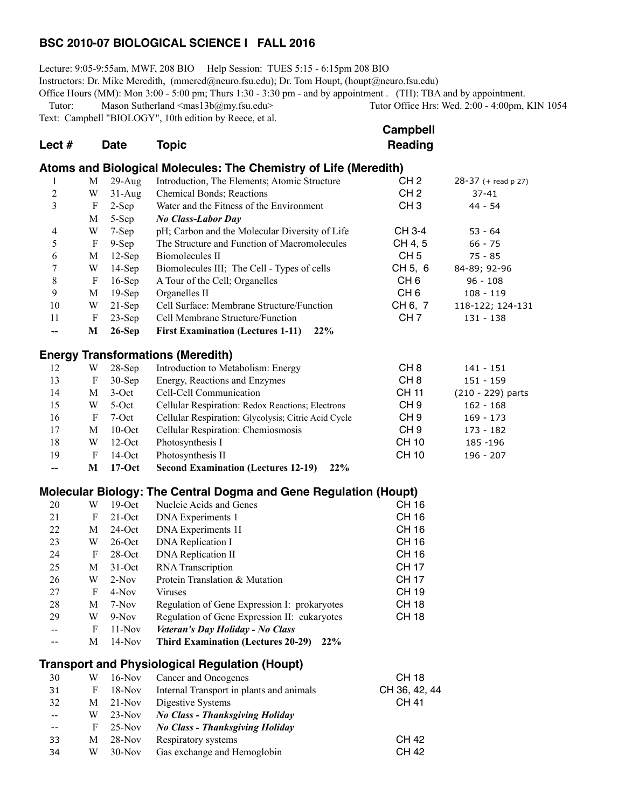### **BSC 2010-07 BIOLOGICAL SCIENCE I FALL 2016**

Lecture: 9:05-9:55am, MWF, 208 BIO Help Session: TUES 5:15 - 6:15pm 208 BIO Instructors: Dr. Mike Meredith, (mmered@neuro.fsu.edu); Dr. Tom Houpt, (houpt@neuro.fsu.edu) Office Hours (MM): Mon 3:00 - 5:00 pm; Thurs 1:30 - 3:30 pm - and by appointment. (TH): TBA and by appointment. Tutor: Mason Sutherland <mas13b@my.fsu.edu> Tutor Office Hrs: Wed. 2:00 - 4:00pm, KIN 1054

Text: Campbell "BIOLOGY", 10th edition by Reece, et al.

|                                                                  |                                                     |       |                                                                                                             | <b>Campbell</b> |       |  |
|------------------------------------------------------------------|-----------------------------------------------------|-------|-------------------------------------------------------------------------------------------------------------|-----------------|-------|--|
| Lect $#$                                                         | <b>Date</b>                                         | Topic |                                                                                                             | Reading         |       |  |
| Atoms and Biological Molecules: The Chemistry of Life (Meredith) |                                                     |       |                                                                                                             |                 |       |  |
|                                                                  | $\mathbf{r}$ $\mathbf{r}$ $\mathbf{r}$ $\mathbf{r}$ |       | $\mathbf{r}$ , and $\mathbf{r}$ , and $\mathbf{r}$ , and $\mathbf{r}$ , and $\mathbf{r}$ , and $\mathbf{r}$ |                 | רה הר |  |

| 1                        | M | $29$ -Aug | Introduction, The Elements; Atomic Structure        | CH <sub>2</sub> | $28-37$ (+ read p 27) |
|--------------------------|---|-----------|-----------------------------------------------------|-----------------|-----------------------|
| $\overline{c}$           | W | $31-Aug$  | Chemical Bonds; Reactions                           | CH <sub>2</sub> | $37 - 41$             |
| 3                        | F | $2-Sep$   | Water and the Fitness of the Environment            | CH <sub>3</sub> | 44 - 54               |
|                          | M | $5-Sep$   | <b>No Class-Labor Day</b>                           |                 |                       |
| $\overline{4}$           | W | $7-Sep$   | pH; Carbon and the Molecular Diversity of Life      | CH 3-4          | $53 - 64$             |
| 5                        | F | $9-Sep$   | The Structure and Function of Macromolecules        | CH 4, 5         | $66 - 75$             |
| 6                        | M | $12$ -Sep | Biomolecules II                                     | CH <sub>5</sub> | $75 - 85$             |
| 7                        | W | $14-Sep$  | Biomolecules III; The Cell - Types of cells         | CH 5, 6         | 84-89; 92-96          |
| 8                        | F | $16$ -Sep | A Tour of the Cell; Organelles                      | CH <sub>6</sub> | $96 - 108$            |
| 9                        | M | $19-Sep$  | Organelles II                                       | CH <sub>6</sub> | $108 - 119$           |
| 10                       | W | $21-Sep$  | Cell Surface: Membrane Structure/Function           | CH 6, 7         | 118-122; 124-131      |
| 11                       | F | $23-Sep$  | Cell Membrane Structure/Function                    | CH <sub>7</sub> | $131 - 138$           |
| $\overline{\phantom{a}}$ | M | $26-Sep$  | <b>First Examination (Lectures 1-11)</b><br>22%     |                 |                       |
|                          |   |           | <b>Energy Transformations (Meredith)</b>            |                 |                       |
| 12                       | W | $28-Sep$  | Introduction to Metabolism: Energy                  | CH <sub>8</sub> | $141 - 151$           |
| 13                       | F | $30-Sep$  | Energy, Reactions and Enzymes                       | CH <sub>8</sub> | $151 - 159$           |
| 14                       | M | $3-Oct$   | Cell-Cell Communication                             | CH 11           | $(210 - 229)$ parts   |
| 15                       | W | $5-Oct$   | Cellular Respiration: Redox Reactions; Electrons    | CH <sub>9</sub> | $162 - 168$           |
| 16                       | F | $7-Oct$   | Cellular Respiration: Glycolysis; Citric Acid Cycle | CH <sub>9</sub> | $169 - 173$           |
| 17                       | M | $10$ -Oct | Cellular Respiration: Chemiosmosis                  | CH <sub>9</sub> | 173 - 182             |
| 18                       | W | $12-Oct$  | Photosynthesis I                                    | CH 10           | 185 - 196             |
| 19                       | F | $14$ -Oct | Photosynthesis II                                   | <b>CH 10</b>    | 196 - 207             |

**-- M 17-Oct Second Examination (Lectures 12-19) 22%**

### **Molecular Biology: The Central Dogma and Gene Regulation (Houpt)**

| 20 | W | $19-Oct$  | Nucleic Acids and Genes                          | CH 16 |
|----|---|-----------|--------------------------------------------------|-------|
| 21 | F | $21$ -Oct | DNA Experiments 1                                | CH 16 |
| 22 | М | $24$ -Oct | <b>DNA</b> Experiments 1I                        | CH 16 |
| 23 | W | $26$ -Oct | <b>DNA</b> Replication I                         | CH 16 |
| 24 | F | $28-Oct$  | <b>DNA</b> Replication II                        | CH 16 |
| 25 | M | $31-Oct$  | <b>RNA</b> Transcription                         | CH 17 |
| 26 | W | $2-Nov$   | Protein Translation & Mutation                   | CH 17 |
| 27 | F | $4-Nov$   | Viruses                                          | CH 19 |
| 28 | М | 7-Nov     | Regulation of Gene Expression I: prokaryotes     | CH 18 |
| 29 | W | $9-Nov$   | Regulation of Gene Expression II: eukaryotes     | CH 18 |
| -- | F | $11-Nov$  | Veteran's Day Holiday - No Class                 |       |
|    | М | $14-Nov$  | 22%<br><b>Third Examination (Lectures 20-29)</b> |       |

# **Transport and Physiological Regulation (Houpt)**

| 30 | W | $16-Nov$ | Cancer and Oncogenes                     | <b>CH 18</b>  |
|----|---|----------|------------------------------------------|---------------|
| 31 | F | $18-Nov$ | Internal Transport in plants and animals | CH 36, 42, 44 |
| 32 | M | $21-Nov$ | Digestive Systems                        | CH 41         |
| -- | W | $23-Nov$ | No Class - Thanksgiving Holiday          |               |
|    | F | $25-Nov$ | <b>No Class - Thanksgiving Holiday</b>   |               |
| 33 | M | $28-Nov$ | Respiratory systems                      | <b>CH 42</b>  |
| 34 | W | $30-Nov$ | Gas exchange and Hemoglobin              | CH 42         |